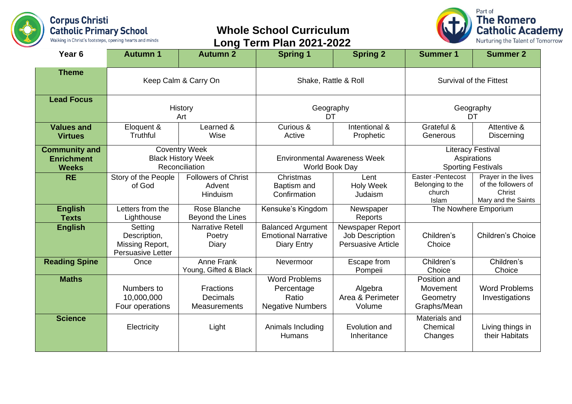

## **Whole School Curriculum Long Term Plan 2021-2022**



| Year <sub>6</sub>                                         | <b>Autumn 1</b>                                                        | <b>Autumn 2</b>                                            | <b>Spring 1</b>                                                              | <b>Spring 2</b>                                                  | <b>Summer 1</b>                                                      | <b>Summer 2</b>                                                             |
|-----------------------------------------------------------|------------------------------------------------------------------------|------------------------------------------------------------|------------------------------------------------------------------------------|------------------------------------------------------------------|----------------------------------------------------------------------|-----------------------------------------------------------------------------|
| <b>Theme</b>                                              | Keep Calm & Carry On                                                   |                                                            | Shake, Rattle & Roll                                                         |                                                                  | <b>Survival of the Fittest</b>                                       |                                                                             |
| <b>Lead Focus</b>                                         | History<br>Art                                                         |                                                            | Geography<br>DT                                                              |                                                                  | Geography<br>DT                                                      |                                                                             |
| <b>Values and</b><br><b>Virtues</b>                       | Eloquent &<br>Truthful                                                 | Learned &<br>Wise                                          | Curious &<br>Active                                                          | Intentional &<br>Prophetic                                       | Grateful &<br>Generous                                               | Attentive &<br>Discerning                                                   |
| <b>Community and</b><br><b>Enrichment</b><br><b>Weeks</b> | <b>Coventry Week</b><br><b>Black History Week</b><br>Reconciliation    |                                                            | <b>Environmental Awareness Week</b><br>World Book Day                        |                                                                  | <b>Literacy Festival</b><br>Aspirations<br><b>Sporting Festivals</b> |                                                                             |
| <b>RE</b>                                                 | Story of the People<br>of God                                          | <b>Followers of Christ</b><br>Advent<br>Hinduism           | Christmas<br>Baptism and<br>Confirmation                                     | Lent<br><b>Holy Week</b><br>Judaism                              | Easter-Pentecost<br>Belonging to the<br>church<br>Islam              | Prayer in the lives<br>of the followers of<br>Christ<br>Mary and the Saints |
| <b>English</b><br><b>Texts</b>                            | Letters from the<br>Lighthouse                                         | Rose Blanche<br>Beyond the Lines                           | Kensuke's Kingdom                                                            | Newspaper<br>Reports                                             | The Nowhere Emporium                                                 |                                                                             |
| <b>English</b>                                            | Setting<br>Description,<br>Missing Report,<br><b>Persuasive Letter</b> | <b>Narrative Retell</b><br>Poetry<br>Diary                 | <b>Balanced Argument</b><br><b>Emotional Narrative</b><br><b>Diary Entry</b> | Newspaper Report<br>Job Description<br><b>Persuasive Article</b> | Children's<br>Choice                                                 | <b>Children's Choice</b>                                                    |
| <b>Reading Spine</b>                                      | Once                                                                   | Anne Frank<br>Young, Gifted & Black                        | Nevermoor                                                                    | Escape from<br>Pompeii                                           | Children's<br>Choice                                                 | Children's<br>Choice                                                        |
| <b>Maths</b>                                              | Numbers to<br>10,000,000<br>Four operations                            | <b>Fractions</b><br><b>Decimals</b><br><b>Measurements</b> | <b>Word Problems</b><br>Percentage<br>Ratio<br><b>Negative Numbers</b>       | Algebra<br>Area & Perimeter<br>Volume                            | Position and<br>Movement<br>Geometry<br>Graphs/Mean                  | <b>Word Problems</b><br>Investigations                                      |
| <b>Science</b>                                            | Electricity                                                            | Light                                                      | Animals Including<br><b>Humans</b>                                           | Evolution and<br>Inheritance                                     | Materials and<br>Chemical<br>Changes                                 | Living things in<br>their Habitats                                          |